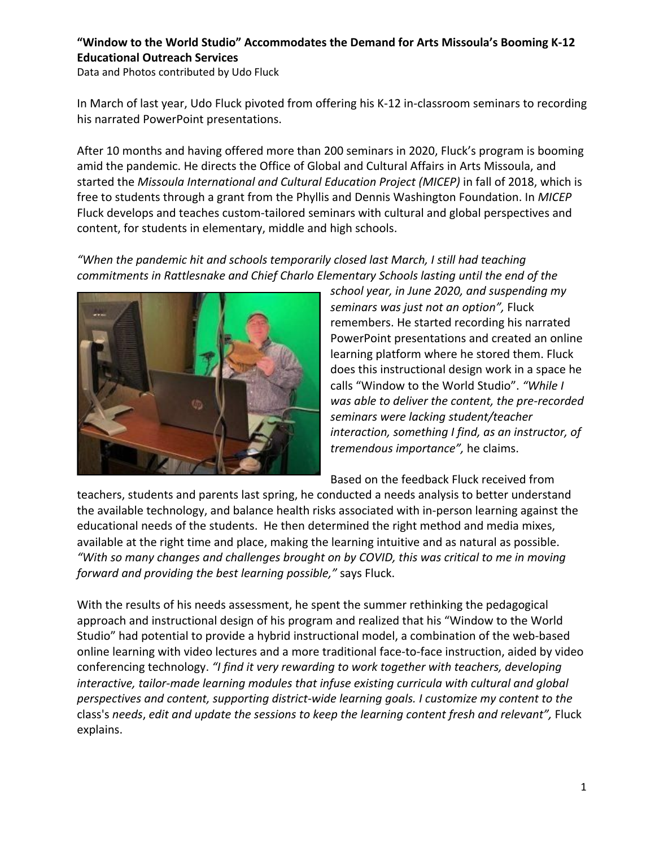## **"Window to the World Studio" Accommodates the Demand for Arts Missoula's Booming K-12 Educational Outreach Services**

Data and Photos contributed by Udo Fluck

In March of last year, Udo [Fluck pivoted from offering his K-12 in-classroom seminars to recording](https://artsmissoula.org/programs/global-cultural-affairs/services-for-students-and-teachers/) [his narrated PowerPoint presentations](https://artsmissoula.org/programs/global-cultural-affairs/services-for-students-and-teachers/).

After 10 months and having offered more than 200 seminars in 2020, Fluck's program is booming amid the pandemic. He directs the Office of Global and Cultural Affairs in Arts Missoula, and started the *Missoula International and Cultural Education Project (MICEP)* in fall of 2018, which is free to students through a grant from the Phyllis and Dennis Washington Foundation. In *MICEP* Fluck develops and teaches custom-tailored seminars with cultural and global perspectives and content, for students in elementary, middle and high schools.

*"When the pandemic hit and schools temporarily closed last March, I still had teaching commitments in Rattlesnake and Chief Charlo Elementary Schools lasting until the end of the*



*school year, in June 2020, and suspending my seminars was just not an option",* Fluck remembers. He started recording his narrated PowerPoint presentations and created an online learning platform where he stored them. Fluck does this instructional design work in a space he calls "Window to the World Studio". *"While I was able to deliver the content, the pre-recorded seminars were lacking student/teacher interaction, something I find, as an instructor, of tremendous importance",* he claims.

Based on the feedback Fluck received from

teachers, students and parents last spring, he conducted a needs analysis to better understand the available technology, and balance health risks associated with in-person learning against the educational needs of the students. He then determined the right method and media mixes, available at the right time and place, making the learning intuitive and as natural as possible. *"With so many changes and challenges brought on by COVID, this was critical to me in moving forward and providing the best learning possible,"* says Fluck.

With the results of his needs assessment, he spent the summer rethinking the pedagogical approach and instructional design of his program and realized that his "Window to the World Studio" had potential to provide a hybrid instructional model, a combination of the web-based online learning with video lectures and a more traditional face-to-face instruction, aided by video conferencing technology. *"I find it very rewarding to work together with teachers, developing interactive, tailor-made learning modules that infuse existing curricula with cultural and global perspectives and content, supporting district-wide learning goals. I customize my content to the* class's *needs*, *edit and update the sessions to keep the learning content fresh and relevant",* Fluck explains.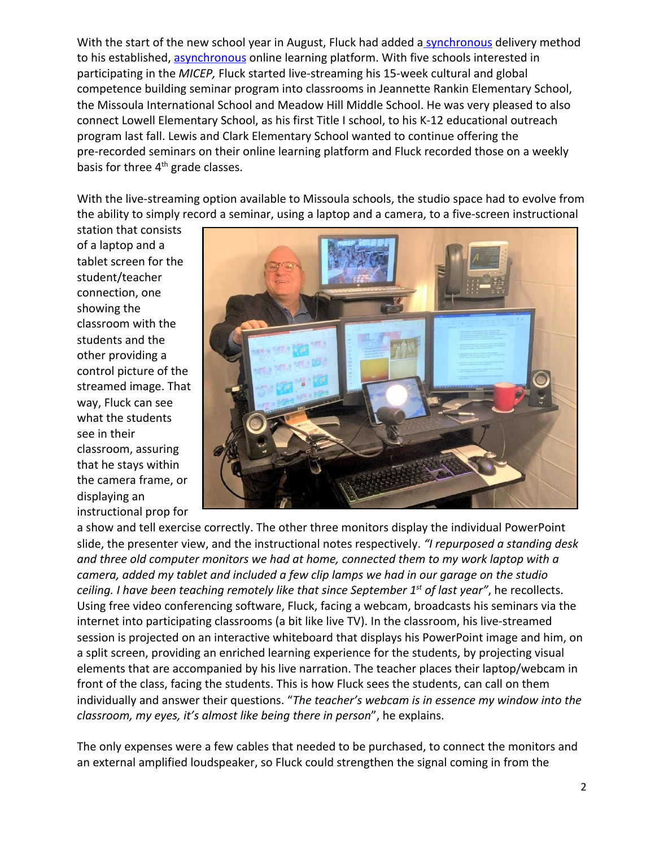With the start of the new school year in August, Fluck had added a [synchronous](https://en.wikipedia.org/wiki/Synchronous_learning) delivery method to his established, [asynchronous](https://en.wikipedia.org/wiki/Asynchronous_learning) online learning platform. With five schools interested in participating in the *MICEP,* Fluck started live-streaming his 15-week cultural and global competence building seminar program into classrooms in Jeannette Rankin Elementary School, the Missoula International School and Meadow Hill Middle School. He was very pleased to also connect Lowell Elementary School, as his first Title I school, to his K-12 educational outreach program last fall. Lewis and Clark Elementary School wanted to continue offering the pre-recorded seminars on their online learning platform and Fluck recorded those on a weekly basis for three 4<sup>th</sup> grade classes.

With the live-streaming option available to Missoula schools, the studio space had to evolve from the ability to simply record a seminar, using a laptop and a camera, to a five-screen instructional

station that consists of a laptop and a tablet screen for the student/teacher connection, one showing the classroom with the students and the other providing a control picture of the streamed image. That way, Fluck can see what the students see in their classroom, assuring that he stays within the camera frame, or displaying an instructional prop for



a show and tell exercise correctly. The other three monitors display the individual PowerPoint slide, the presenter view, and the instructional notes respectively. *"I repurposed a standing desk and three old computer monitors we had at home, connected them to my work laptop with a camera, added my tablet and included a few clip lamps we had in our garage on the studio ceiling. I have been teaching remotely like that since September 1st of last year"*, he recollects. Using free video conferencing software, Fluck, facing a webcam, broadcasts his seminars via the internet into participating classrooms (a bit like live TV). In the classroom, his live-streamed session is projected on an interactive whiteboard that displays his PowerPoint image and him, on a split screen, providing an enriched learning experience for the students, by projecting visual elements that are accompanied by his live narration. The teacher places their laptop/webcam in front of the class, facing the students. This is how Fluck sees the students, can call on them individually and answer their questions. "*The teacher's webcam is in essence my window into the classroom, my eyes, it's almost like being there in person*", he explains.

The only expenses were a few cables that needed to be purchased, to connect the monitors and an external amplified loudspeaker, so Fluck could strengthen the signal coming in from the